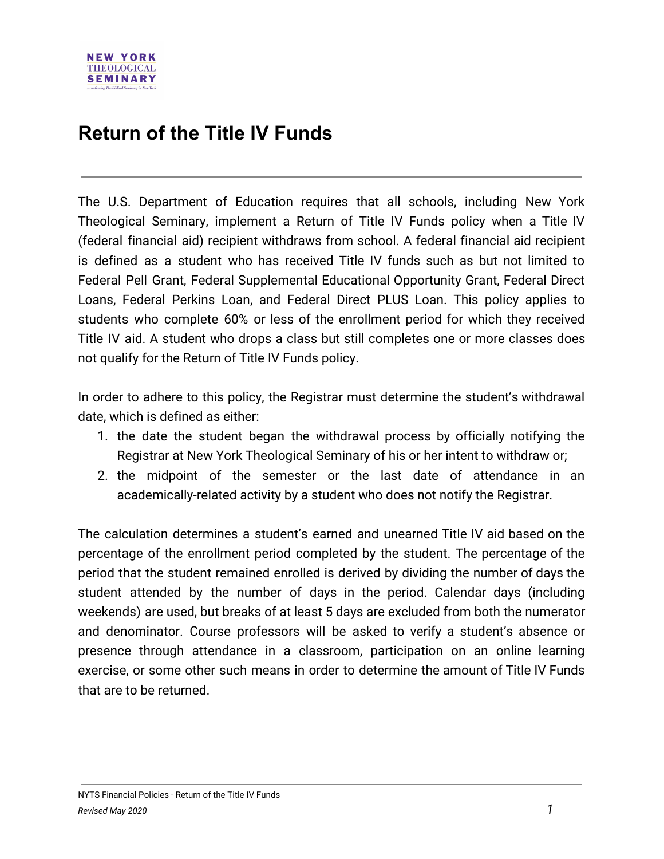## **Return of the Title IV Funds**

The U.S. Department of Education requires that all schools, including New York Theological Seminary, implement a Return of Title IV Funds policy when a Title IV (federal financial aid) recipient withdraws from school. A federal financial aid recipient is defined as a student who has received Title IV funds such as but not limited to Federal Pell Grant, Federal Supplemental Educational Opportunity Grant, Federal Direct Loans, Federal Perkins Loan, and Federal Direct PLUS Loan. This policy applies to students who complete 60% or less of the enrollment period for which they received Title IV aid. A student who drops a class but still completes one or more classes does not qualify for the Return of Title IV Funds policy.

In order to adhere to this policy, the Registrar must determine the student's withdrawal date, which is defined as either:

- 1. the date the student began the withdrawal process by officially notifying the Registrar at New York Theological Seminary of his or her intent to withdraw or;
- 2. the midpoint of the semester or the last date of attendance in an academically-related activity by a student who does not notify the Registrar.

The calculation determines a student's earned and unearned Title IV aid based on the percentage of the enrollment period completed by the student. The percentage of the period that the student remained enrolled is derived by dividing the number of days the student attended by the number of days in the period. Calendar days (including weekends) are used, but breaks of at least 5 days are excluded from both the numerator and denominator. Course professors will be asked to verify a student's absence or presence through attendance in a classroom, participation on an online learning exercise, or some other such means in order to determine the amount of Title IV Funds that are to be returned.